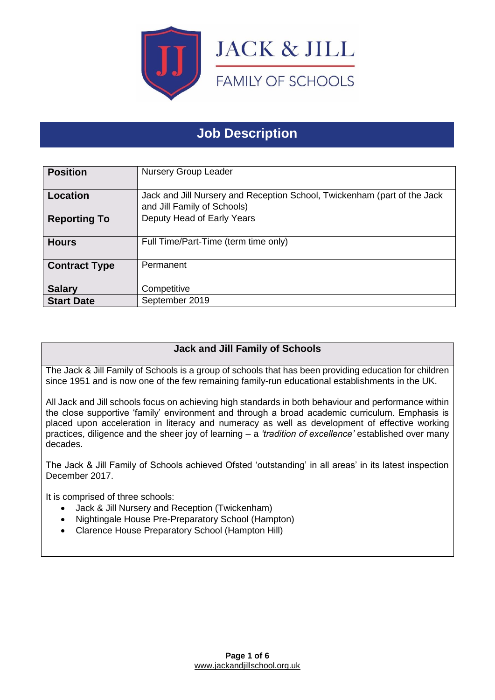

# **Job Description**

| <b>Position</b>      | <b>Nursery Group Leader</b>                                                                             |
|----------------------|---------------------------------------------------------------------------------------------------------|
| <b>Location</b>      | Jack and Jill Nursery and Reception School, Twickenham (part of the Jack<br>and Jill Family of Schools) |
| <b>Reporting To</b>  | Deputy Head of Early Years                                                                              |
| <b>Hours</b>         | Full Time/Part-Time (term time only)                                                                    |
| <b>Contract Type</b> | Permanent                                                                                               |
| <b>Salary</b>        | Competitive                                                                                             |
| <b>Start Date</b>    | September 2019                                                                                          |

# **Jack and Jill Family of Schools**

The Jack & Jill Family of Schools is a group of schools that has been providing education for children since 1951 and is now one of the few remaining family-run educational establishments in the UK.

All Jack and Jill schools focus on achieving high standards in both behaviour and performance within the close supportive 'family' environment and through a broad academic curriculum. Emphasis is placed upon acceleration in literacy and numeracy as well as development of effective working practices, diligence and the sheer joy of learning – a *'tradition of excellence'* established over many decades.

The Jack & Jill Family of Schools achieved Ofsted 'outstanding' in all areas' in its latest inspection December 2017.

It is comprised of three schools:

- Jack & Jill Nursery and Reception (Twickenham)
- Nightingale House Pre-Preparatory School (Hampton)
- Clarence House Preparatory School (Hampton Hill)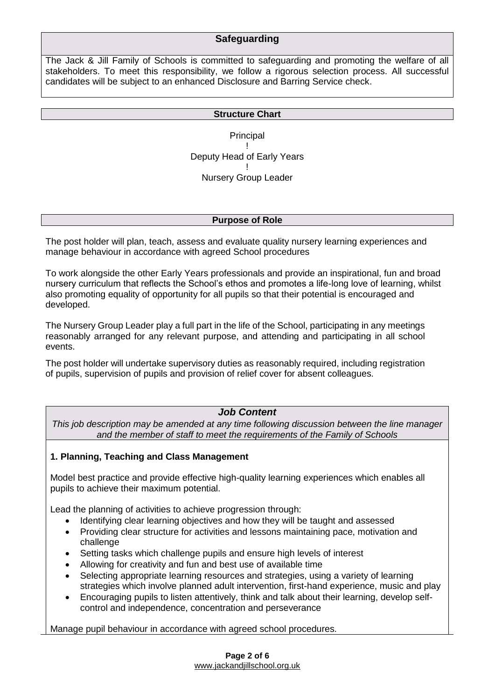# **Safeguarding**

The Jack & Jill Family of Schools is committed to safeguarding and promoting the welfare of all stakeholders. To meet this responsibility, we follow a rigorous selection process. All successful candidates will be subject to an enhanced Disclosure and Barring Service check.

#### **Structure Chart**

**Principal** ! Deputy Head of Early Years ! Nursery Group Leader

#### **Purpose of Role**

The post holder will plan, teach, assess and evaluate quality nursery learning experiences and manage behaviour in accordance with agreed School procedures

To work alongside the other Early Years professionals and provide an inspirational, fun and broad nursery curriculum that reflects the School's ethos and promotes a life-long love of learning, whilst also promoting equality of opportunity for all pupils so that their potential is encouraged and developed.

The Nursery Group Leader play a full part in the life of the School, participating in any meetings reasonably arranged for any relevant purpose, and attending and participating in all school events.

The post holder will undertake supervisory duties as reasonably required, including registration of pupils, supervision of pupils and provision of relief cover for absent colleagues.

# *Job Content*

*This job description may be amended at any time following discussion between the line manager and the member of staff to meet the requirements of the Family of Schools*

### **1. Planning, Teaching and Class Management**

Model best practice and provide effective high-quality learning experiences which enables all pupils to achieve their maximum potential.

Lead the planning of activities to achieve progression through:

- Identifying clear learning objectives and how they will be taught and assessed
- Providing clear structure for activities and lessons maintaining pace, motivation and challenge
- Setting tasks which challenge pupils and ensure high levels of interest
- Allowing for creativity and fun and best use of available time
- Selecting appropriate learning resources and strategies, using a variety of learning strategies which involve planned adult intervention, first-hand experience, music and play
- Encouraging pupils to listen attentively, think and talk about their learning, develop selfcontrol and independence, concentration and perseverance

Manage pupil behaviour in accordance with agreed school procedures.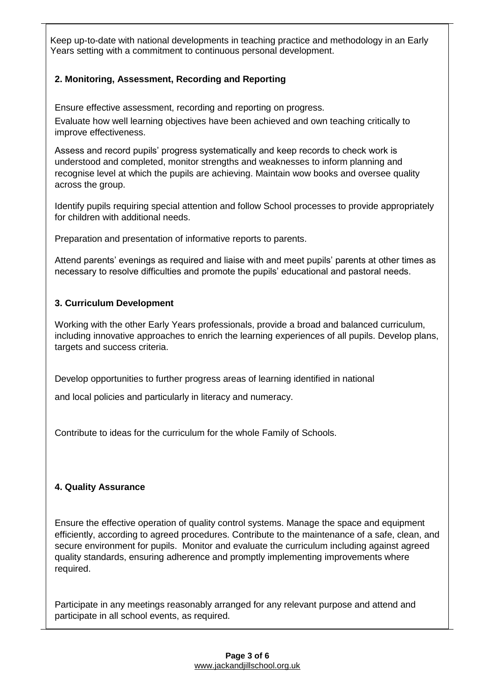Keep up-to-date with national developments in teaching practice and methodology in an Early Years setting with a commitment to continuous personal development.

## **2. Monitoring, Assessment, Recording and Reporting**

Ensure effective assessment, recording and reporting on progress.

Evaluate how well learning objectives have been achieved and own teaching critically to improve effectiveness.

Assess and record pupils' progress systematically and keep records to check work is understood and completed, monitor strengths and weaknesses to inform planning and recognise level at which the pupils are achieving. Maintain wow books and oversee quality across the group.

Identify pupils requiring special attention and follow School processes to provide appropriately for children with additional needs.

Preparation and presentation of informative reports to parents.

Attend parents' evenings as required and liaise with and meet pupils' parents at other times as necessary to resolve difficulties and promote the pupils' educational and pastoral needs.

### **3. Curriculum Development**

Working with the other Early Years professionals, provide a broad and balanced curriculum, including innovative approaches to enrich the learning experiences of all pupils. Develop plans, targets and success criteria.

Develop opportunities to further progress areas of learning identified in national

and local policies and particularly in literacy and numeracy.

Contribute to ideas for the curriculum for the whole Family of Schools.

### **4. Quality Assurance**

Ensure the effective operation of quality control systems. Manage the space and equipment efficiently, according to agreed procedures. Contribute to the maintenance of a safe, clean, and secure environment for pupils. Monitor and evaluate the curriculum including against agreed quality standards, ensuring adherence and promptly implementing improvements where required.

Participate in any meetings reasonably arranged for any relevant purpose and attend and participate in all school events, as required.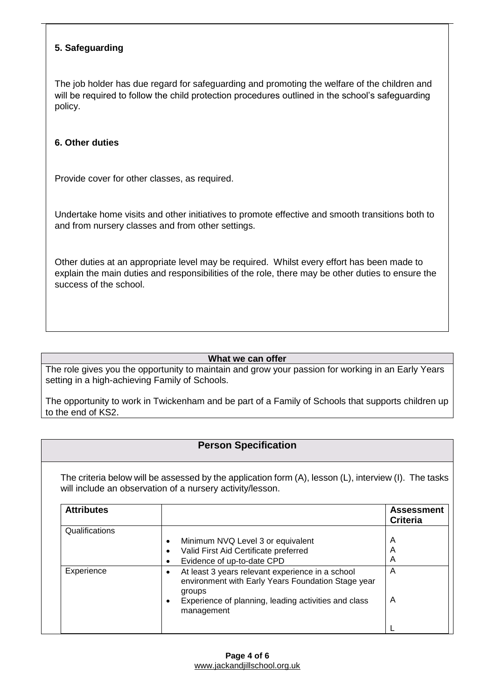## **5. Safeguarding**

The job holder has due regard for safeguarding and promoting the welfare of the children and will be required to follow the child protection procedures outlined in the school's safeguarding policy.

### **6. Other duties**

Provide cover for other classes, as required.

Undertake home visits and other initiatives to promote effective and smooth transitions both to and from nursery classes and from other settings.

Other duties at an appropriate level may be required. Whilst every effort has been made to explain the main duties and responsibilities of the role, there may be other duties to ensure the success of the school.

#### **What we can offer**

The role gives you the opportunity to maintain and grow your passion for working in an Early Years setting in a high-achieving Family of Schools.

The opportunity to work in Twickenham and be part of a Family of Schools that supports children up to the end of KS2.

# **Person Specification**

The criteria below will be assessed by the application form (A), lesson (L), interview (I). The tasks will include an observation of a nursery activity/lesson.

| <b>Attributes</b> |                                                                                                                  | <b>Assessment</b><br><b>Criteria</b> |
|-------------------|------------------------------------------------------------------------------------------------------------------|--------------------------------------|
| Qualifications    |                                                                                                                  |                                      |
|                   | Minimum NVQ Level 3 or equivalent                                                                                | A                                    |
|                   | Valid First Aid Certificate preferred                                                                            | A                                    |
|                   | Evidence of up-to-date CPD                                                                                       | A                                    |
| Experience        | At least 3 years relevant experience in a school<br>environment with Early Years Foundation Stage year<br>groups | A                                    |
|                   | Experience of planning, leading activities and class<br>management                                               | A                                    |
|                   |                                                                                                                  |                                      |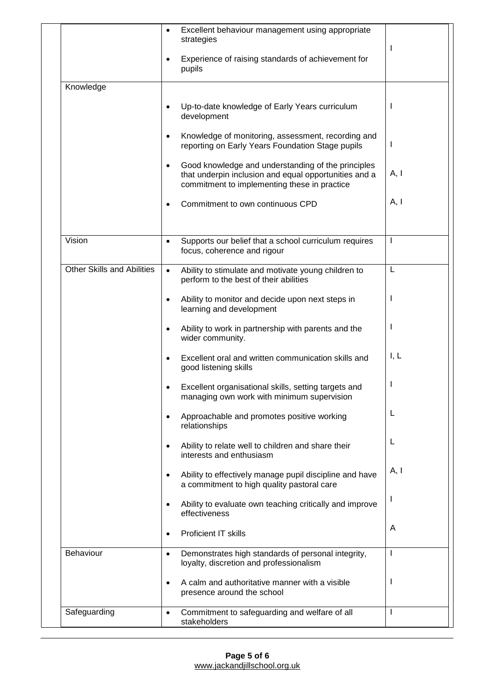|                                   | Excellent behaviour management using appropriate<br>$\bullet$<br>strategies                                                                                              | I    |
|-----------------------------------|--------------------------------------------------------------------------------------------------------------------------------------------------------------------------|------|
|                                   | Experience of raising standards of achievement for<br>$\bullet$<br>pupils                                                                                                |      |
| Knowledge                         |                                                                                                                                                                          |      |
|                                   | Up-to-date knowledge of Early Years curriculum<br>$\bullet$<br>development                                                                                               | ı    |
|                                   | Knowledge of monitoring, assessment, recording and<br>$\bullet$<br>reporting on Early Years Foundation Stage pupils                                                      | I    |
|                                   | Good knowledge and understanding of the principles<br>$\bullet$<br>that underpin inclusion and equal opportunities and a<br>commitment to implementing these in practice | A, I |
|                                   | Commitment to own continuous CPD<br>٠                                                                                                                                    | A, I |
| Vision                            | Supports our belief that a school curriculum requires<br>$\bullet$<br>focus, coherence and rigour                                                                        | Т    |
| <b>Other Skills and Abilities</b> | Ability to stimulate and motivate young children to<br>$\bullet$<br>perform to the best of their abilities                                                               | L    |
|                                   | Ability to monitor and decide upon next steps in<br>$\bullet$<br>learning and development                                                                                |      |
|                                   | Ability to work in partnership with parents and the<br>$\bullet$<br>wider community.                                                                                     | ı    |
|                                   | Excellent oral and written communication skills and<br>$\bullet$<br>good listening skills                                                                                | I, L |
|                                   | Excellent organisational skills, setting targets and<br>managing own work with minimum supervision                                                                       | ı    |
|                                   | Approachable and promotes positive working<br>relationships                                                                                                              | L    |
|                                   | Ability to relate well to children and share their<br>$\bullet$<br>interests and enthusiasm                                                                              | L    |
|                                   | Ability to effectively manage pupil discipline and have<br>$\bullet$<br>a commitment to high quality pastoral care                                                       | A, I |
|                                   | Ability to evaluate own teaching critically and improve<br>$\bullet$<br>effectiveness                                                                                    | I    |
|                                   | Proficient IT skills<br>$\bullet$                                                                                                                                        | A    |
| Behaviour                         | Demonstrates high standards of personal integrity,<br>$\bullet$<br>loyalty, discretion and professionalism                                                               | T    |
|                                   | A calm and authoritative manner with a visible<br>$\bullet$<br>presence around the school                                                                                | I    |
| Safeguarding                      | Commitment to safeguarding and welfare of all<br>stakeholders                                                                                                            | I    |